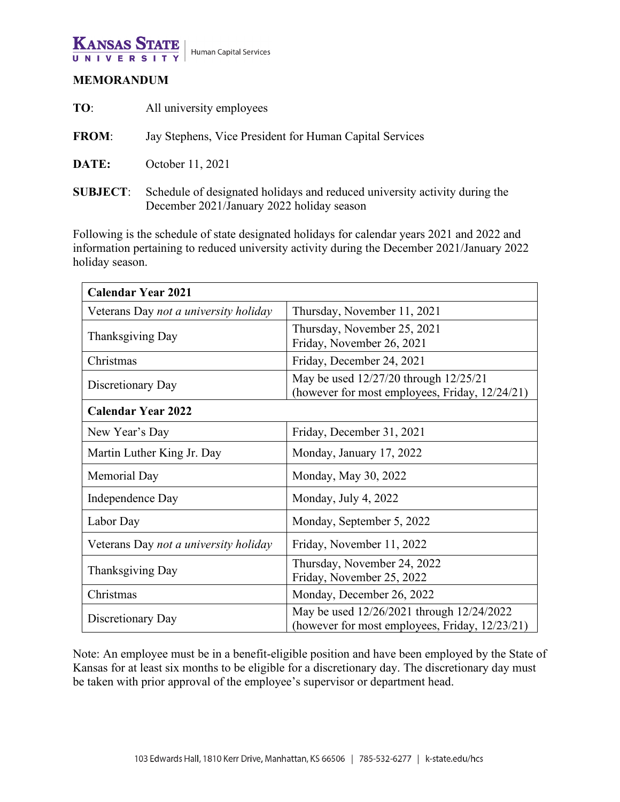

## **KANSAS STATE** UNIVERS

# **MEMORANDUM**

| TO:             | All university employees                                                                                                |
|-----------------|-------------------------------------------------------------------------------------------------------------------------|
| <b>FROM:</b>    | Jay Stephens, Vice President for Human Capital Services                                                                 |
| DATE:           | October 11, 2021                                                                                                        |
| <b>SUBJECT:</b> | Schedule of designated holidays and reduced university activity during the<br>December 2021/January 2022 holiday season |

Following is the schedule of state designated holidays for calendar years 2021 and 2022 and information pertaining to reduced university activity during the December 2021/January 2022 holiday season.

| <b>Calendar Year 2021</b>             |                                                                                             |  |  |  |
|---------------------------------------|---------------------------------------------------------------------------------------------|--|--|--|
| Veterans Day not a university holiday | Thursday, November 11, 2021                                                                 |  |  |  |
| Thanksgiving Day                      | Thursday, November 25, 2021<br>Friday, November 26, 2021                                    |  |  |  |
| Christmas                             | Friday, December 24, 2021                                                                   |  |  |  |
| Discretionary Day                     | May be used 12/27/20 through 12/25/21<br>(however for most employees, Friday, 12/24/21)     |  |  |  |
| <b>Calendar Year 2022</b>             |                                                                                             |  |  |  |
| New Year's Day                        | Friday, December 31, 2021                                                                   |  |  |  |
| Martin Luther King Jr. Day            | Monday, January 17, 2022                                                                    |  |  |  |
| Memorial Day                          | Monday, May 30, 2022                                                                        |  |  |  |
| Independence Day                      | Monday, July 4, 2022                                                                        |  |  |  |
| Labor Day                             | Monday, September 5, 2022                                                                   |  |  |  |
| Veterans Day not a university holiday | Friday, November 11, 2022                                                                   |  |  |  |
| Thanksgiving Day                      | Thursday, November 24, 2022<br>Friday, November 25, 2022                                    |  |  |  |
| Christmas                             | Monday, December 26, 2022                                                                   |  |  |  |
| Discretionary Day                     | May be used 12/26/2021 through 12/24/2022<br>(however for most employees, Friday, 12/23/21) |  |  |  |

Note: An employee must be in a benefit-eligible position and have been employed by the State of Kansas for at least six months to be eligible for a discretionary day. The discretionary day must be taken with prior approval of the employee's supervisor or department head.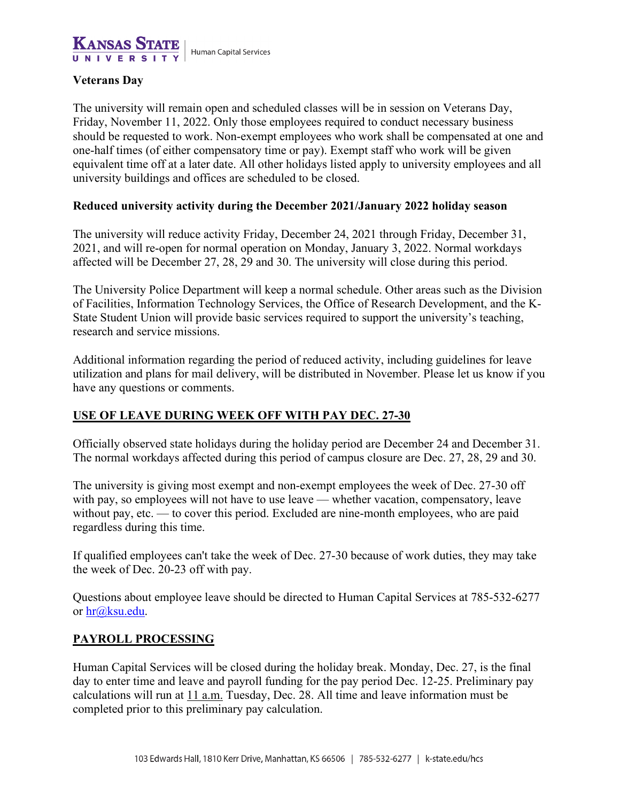

## **Veterans Day**

The university will remain open and scheduled classes will be in session on Veterans Day, Friday, November 11, 2022. Only those employees required to conduct necessary business should be requested to work. Non-exempt employees who work shall be compensated at one and one-half times (of either compensatory time or pay). Exempt staff who work will be given equivalent time off at a later date. All other holidays listed apply to university employees and all university buildings and offices are scheduled to be closed.

## **Reduced university activity during the December 2021/January 2022 holiday season**

The university will reduce activity Friday, December 24, 2021 through Friday, December 31, 2021, and will re-open for normal operation on Monday, January 3, 2022. Normal workdays affected will be December 27, 28, 29 and 30. The university will close during this period.

The University Police Department will keep a normal schedule. Other areas such as the Division of Facilities, Information Technology Services, the Office of Research Development, and the K-State Student Union will provide basic services required to support the university's teaching, research and service missions.

Additional information regarding the period of reduced activity, including guidelines for leave utilization and plans for mail delivery, will be distributed in November. Please let us know if you have any questions or comments.

## **USE OF LEAVE DURING WEEK OFF WITH PAY DEC. 27-30**

Officially observed state holidays during the holiday period are December 24 and December 31. The normal workdays affected during this period of campus closure are Dec. 27, 28, 29 and 30.

The university is giving most exempt and non-exempt employees the week of Dec. 27-30 off with pay, so employees will not have to use leave — whether vacation, compensatory, leave without pay, etc. — to cover this period. Excluded are nine-month employees, who are paid regardless during this time.

If qualified employees can't take the week of Dec. 27-30 because of work duties, they may take the week of Dec. 20-23 off with pay.

Questions about employee leave should be directed to Human Capital Services at 785-532-6277 or  $hr@$ ksu.edu.

## **PAYROLL PROCESSING**

Human Capital Services will be closed during the holiday break. Monday, Dec. 27, is the final day to enter time and leave and payroll funding for the pay period Dec. 12-25. Preliminary pay calculations will run at 11 a.m. Tuesday, Dec. 28. All time and leave information must be completed prior to this preliminary pay calculation.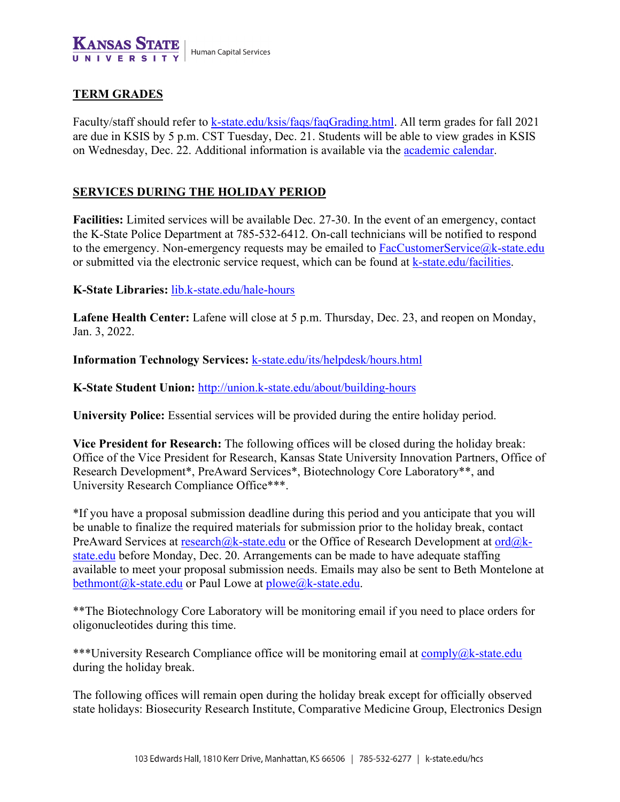

## **TERM GRADES**

Faculty/staff should refer to [k-state.edu/ksis/faqs/faqGrading.html.](https://www.k-state.edu/ksis/faqs/faqGrading.html) All term grades for fall 2021 are due in KSIS by 5 p.m. CST Tuesday, Dec. 21. Students will be able to view grades in KSIS on Wednesday, Dec. 22. Additional information is available via the [academic calendar.](https://www.k-state.edu/registrar/calendar/)

## **SERVICES DURING THE HOLIDAY PERIOD**

**Facilities:** Limited services will be available Dec. 27-30. In the event of an emergency, contact the K-State Police Department at 785-532-6412. On-call technicians will be notified to respond to the emergency. Non-emergency requests may be emailed to  $FacCustomerService@k-state.edu$ or submitted via the electronic service request, which can be found at [k-state.edu/facilities.](https://www.k-state.edu/facilities)

#### **K-State Libraries:** [lib.k-state.edu/hale-hours](https://www.lib.k-state.edu/hale-hours)

Lafene Health Center: Lafene will close at 5 p.m. Thursday, Dec. 23, and reopen on Monday, Jan. 3, 2022.

**Information Technology Services:** [k-state.edu/its/helpdesk/hours.html](http://www.k-state.edu/its/helpdesk/hours.html)

**K-State Student Union:** <http://union.k-state.edu/about/building-hours>

**University Police:** Essential services will be provided during the entire holiday period.

**Vice President for Research:** The following offices will be closed during the holiday break: Office of the Vice President for Research, Kansas State University Innovation Partners, Office of Research Development\*, PreAward Services\*, Biotechnology Core Laboratory\*\*, and University Research Compliance Office\*\*\*.

\*If you have a proposal submission deadline during this period and you anticipate that you will be unable to finalize the required materials for submission prior to the holiday break, contact PreAward Services at [research@k-state.edu](http://research@k-state.edu) or the Office of Research Development at  $\text{ord@k-}$ [state.edu](http://ord@k-state.edu) before Monday, Dec. 20. Arrangements can be made to have adequate staffing available to meet your proposal submission needs. Emails may also be sent to Beth Montelone at [bethmont@k-state.edu](mailto:bethmont@k-state.edu) or Paul Lowe at [plowe@k-state.edu.](mailto:plowe@k-state.edu)

\*\*The Biotechnology Core Laboratory will be monitoring email if you need to place orders for oligonucleotides during this time.

\*\*\*University Research Compliance office will be monitoring email at  $\overline{\text{comply}}(\partial k\text{-state.edu})$ during the holiday break.

The following offices will remain open during the holiday break except for officially observed state holidays: Biosecurity Research Institute, Comparative Medicine Group, Electronics Design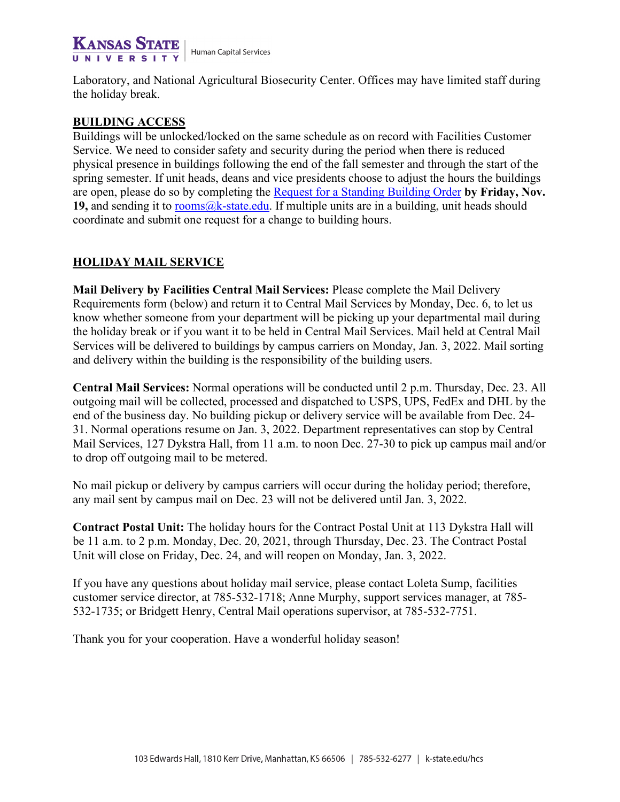#### **KANSAS STATE** Human Capital Services UNIVERSIT

Laboratory, and National Agricultural Biosecurity Center. Offices may have limited staff during the holiday break.

## **BUILDING ACCESS**

Buildings will be unlocked/locked on the same schedule as on record with Facilities Customer Service. We need to consider safety and security during the period when there is reduced physical presence in buildings following the end of the fall semester and through the start of the spring semester. If unit heads, deans and vice presidents choose to adjust the hours the buildings are open, please do so by completing the [Request for a Standing Building Order](https://www.k-state.edu/facilities/request/forms/Request-Standing-Building-Order.pdf) **by Friday, Nov.**  19, and sending it to **rooms@k-state.edu**. If multiple units are in a building, unit heads should coordinate and submit one request for a change to building hours.

# **HOLIDAY MAIL SERVICE**

**Mail Delivery by Facilities Central Mail Services:** Please complete the Mail Delivery Requirements form (below) and return it to Central Mail Services by Monday, Dec. 6, to let us know whether someone from your department will be picking up your departmental mail during the holiday break or if you want it to be held in Central Mail Services. Mail held at Central Mail Services will be delivered to buildings by campus carriers on Monday, Jan. 3, 2022. Mail sorting and delivery within the building is the responsibility of the building users.

**Central Mail Services:** Normal operations will be conducted until 2 p.m. Thursday, Dec. 23. All outgoing mail will be collected, processed and dispatched to USPS, UPS, FedEx and DHL by the end of the business day. No building pickup or delivery service will be available from Dec. 24- 31. Normal operations resume on Jan. 3, 2022. Department representatives can stop by Central Mail Services, 127 Dykstra Hall, from 11 a.m. to noon Dec. 27-30 to pick up campus mail and/or to drop off outgoing mail to be metered.

No mail pickup or delivery by campus carriers will occur during the holiday period; therefore, any mail sent by campus mail on Dec. 23 will not be delivered until Jan. 3, 2022.

**Contract Postal Unit:** The holiday hours for the Contract Postal Unit at 113 Dykstra Hall will be 11 a.m. to 2 p.m. Monday, Dec. 20, 2021, through Thursday, Dec. 23. The Contract Postal Unit will close on Friday, Dec. 24, and will reopen on Monday, Jan. 3, 2022.

If you have any questions about holiday mail service, please contact Loleta Sump, facilities customer service director, at 785-532-1718; Anne Murphy, support services manager, at 785- 532-1735; or Bridgett Henry, Central Mail operations supervisor, at 785-532-7751.

Thank you for your cooperation. Have a wonderful holiday season!